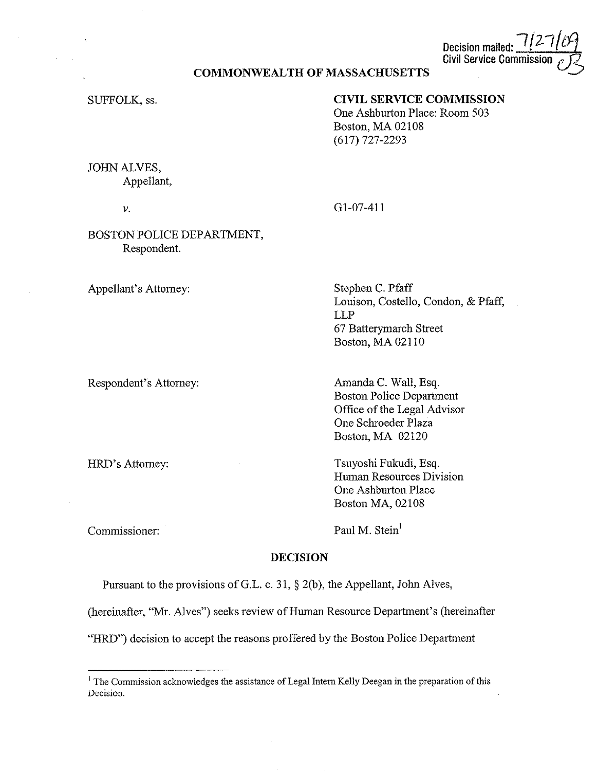Decision mailed: **Civil Service Commiss** 

#### **COMMONWEALTH OF MASSACHUSETTS**

SUFFOLK, ss.

# **CIVIL SERVICE COMMISSION**

One Ashburton Place: Room 503 Boston, MA 02108 (617) 727-2293

JOHN ALVES, Appellant,

*V.* 

Gl-07-411

### BOSTON POLICE DEPARTMENT, Respondent.

Appellant's Attorney:

Respondent's Attorney:

HRD's Attorney:

Stephen C. Pfaff Louison, Costello, Condon, & Pfaff, LLP 67 Batterymarch Street Boston, MA 02110

Amanda C. Wall, Esq. Boston Police Department Office of the Legal Advisor One Schroeder Plaza Boston, MA 02120

Tsuyoshi Fukudi, Esq. Human Resources Division One Ashburton Place Boston MA, 02108

Commissioner:

Paul M. Stein<sup>1</sup>

## **DECISION**

Pursuant to the provisions of G.L. c. 31,  $\S$  2(b), the Appellant, John Alves,

(hereinafter, "Mr. Alves") seeks review of Human Resource Department's (hereinafter

"HRD") decision to accept the reasons proffered by the Boston Police Department

<sup>&</sup>lt;sup>1</sup> The Commission acknowledges the assistance of Legal Intern Kelly Deegan in the preparation of this **Decision.**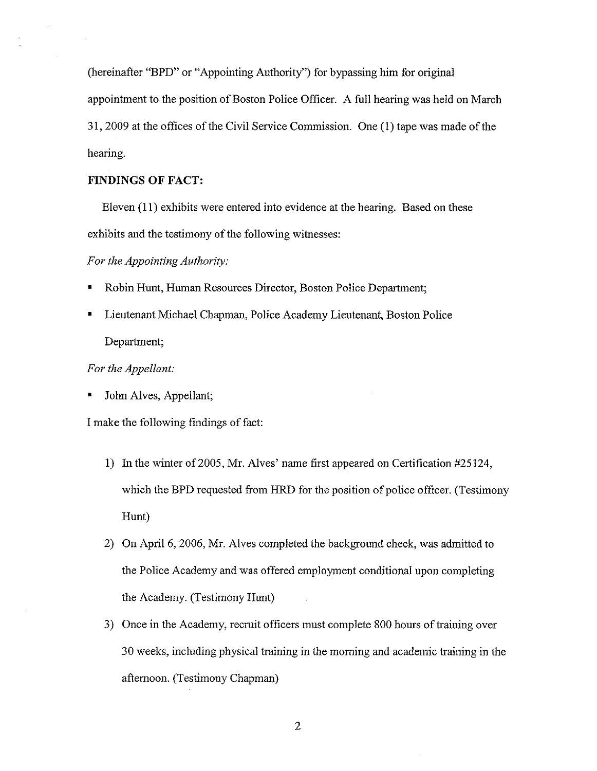(hereinafter "BPD" or "Appointing Authority") for bypassing him for original appointment to the position of Boston Police Officer. A full hearing was held on March 31, 2009 at the offices of the Civil Service Commission. One (1) tape was made of the hearing.

#### **FINDINGS OF FACT:**

Eleven (11) exhibits were entered into evidence at the hearing. Based on these exhibits and the testimony of the following witnesses:

*For the Appointing Authority:* 

- Robin Hunt, Human Resources Director, Boston Police Department;
- Lieutenant Michael Chapman, Police Academy Lieutenant, Boston Police Department;

#### *For the Appellant:*

• John Alves, Appellant;

I make the following findings of fact:

- 1) In the winter of 2005, Mr. Alves' name first appeared on Certification #25124, which the BPD requested from HRD for the position of police officer. (Testimony Hunt)
- 2) On April 6, 2006, Mr. Alves completed the background check, was admitted to the Police Academy and was offered employment conditional upon completing the Academy. (Testimony Hunt)
- 3) Once in the Academy, recruit officers must complete 800 hours of training over 30 weeks, including physical training in the morning and academic training in the afternoon. (Testimony Chapman)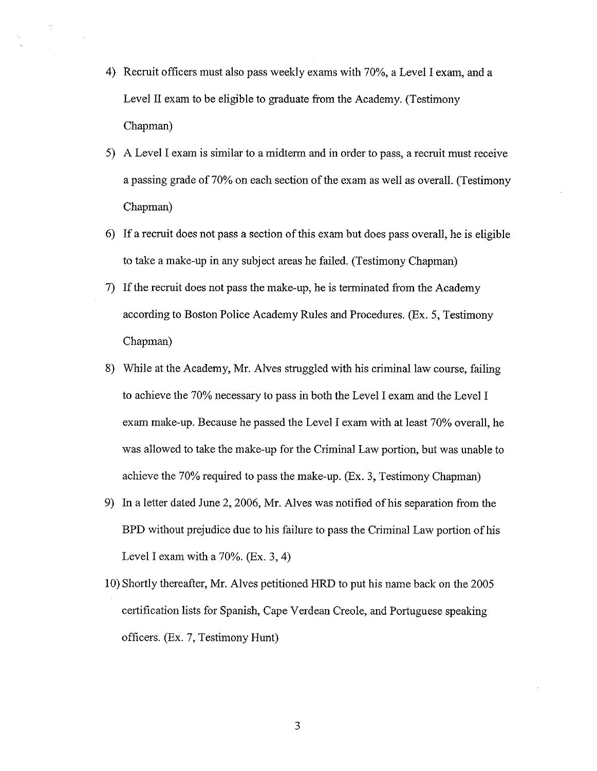4) Recruit officers must also pass weekly exams with 70%, a Level I exam, and a Level II exam to be eligible to graduate from the Academy. (Testimony Chapman)

 $\langle \cdot \rangle$ 

- 5) A Level I exam is similar to a midterm and in order to pass, a recruit must receive a passing grade of 70% on each section of the exam as well as overall. (Testimony Chapman)
- 6) If a recruit does not pass a section of this exam but does pass overall, he is eligible to take a make-up in any subject areas he failed. (Testimony Chapman)
- 7) If the recruit does not pass the make-up, he is terminated from the Academy according to Boston Police Academy Rules and Procedures. (Ex. 5, Testimony Chapman)
- 8) While at the Academy, Mr. Alves struggled with his criminal law course, failing to achieve the 70% necessary to pass in both the Level I exam and the Level I exam make-up. Because he passed the Level I exam with at least 70% overall, he was allowed to take the make-up for the Criminal Law portion, but was unable to achieve the 70% required to pass the make-up. (Ex. 3, Testimony Chapman)
- 9) In a letter dated June 2, 2006, Mr. Alves was notified of his separation from the BPD without prejudice due to his failure to pass the Criminal Law portion of his Level I exam with a  $70\%$ . (Ex. 3, 4)
- I 0) Shortly thereafter, Mr. Alves petitioned HRD to put his name back on the 2005 certification lists for Spanish, Cape Verdean Creole, and Portuguese speaking officers. (Ex. 7, Testimony Hunt)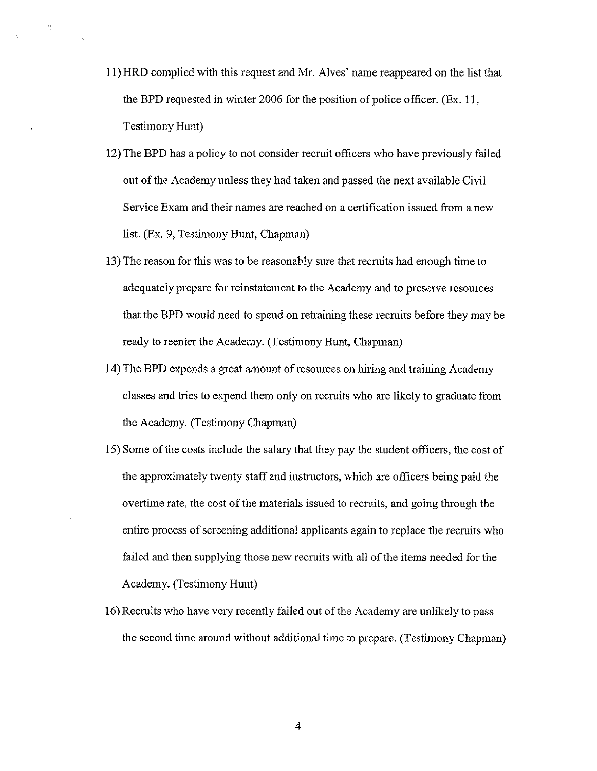- 11) HRD complied with this request and Mr. Alves' name reappeared on the list that the BPD requested in winter 2006 for the position of police officer. (Ex. 11, Testimony Hunt)
- 12) The BPD has a policy to not consider recruit officers who have previously failed out of the Academy unless they had taken and passed the next available Civil Service Exam and their names are reached on a certification issued from a new list. (Ex. 9, Testimony Hunt, Chapman)
- 13) The reason for this was to be reasonably sure that recruits had enough time to adequately prepare for reinstatement to the Academy and to preserve resources that the BPD would need to spend on retraining these recruits before they may be ready to reenter the Academy. (Testimony Hunt, Chapman)
- 14) The BPD expends a great amount of resources on hiring and training Academy classes and tries to expend them only on recruits who are likely to graduate from the Academy. (Testimony Chapman)
- 15) Some of the costs include the salary that they pay the student officers, the cost of the approximately twenty staff and instructors, which are officers being paid the overtime rate, the cost of the materials issued to recruits, and going through the entire process of screening additional applicants again to replace the recruits who failed and then supplying those new recruits with all of the items needed for the Academy. (Testimony Hunt)
- 16) Recruits who have very recently failed out of the Academy are unlikely to pass the second time around without additional time to prepare. (Testimony Chapman)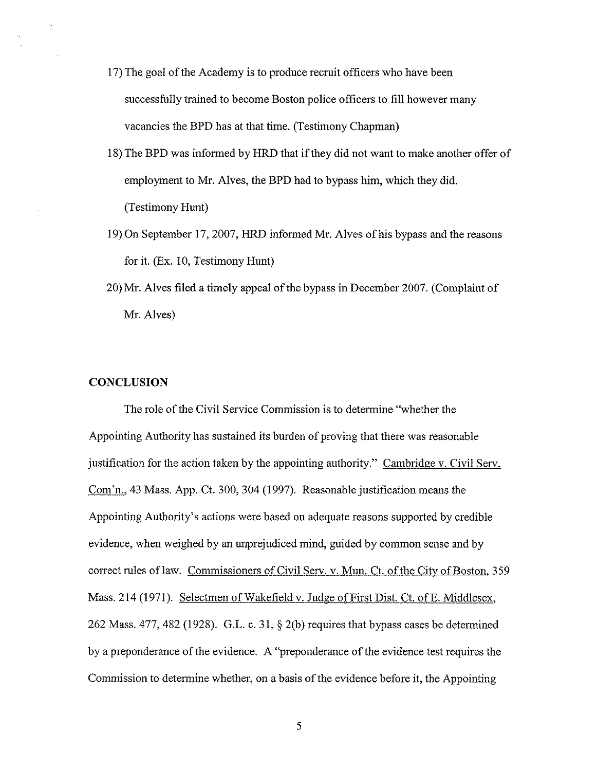- 17) The goal of the Academy is to produce recruit officers who have been successfully trained to become Boston police officers to fill however many vacancies the BPD has at that time. (Testimony Chapman)
- 18)The BPD was informed by HRD that if they did not want to make another offer of employment to Mr. Alves, the BPD had to bypass him, which they did. (Testimony Hunt)
- 19) On September 17, 2007, HRD informed Mr. Alves of his bypass and the reasons for it. (Ex. 10, Testimony Hunt)
- 20)Mr. Alves filed a timely appeal of the bypass in December 2007. (Complaint of Mr. Alves)

### **CONCLUSION**

 $\mathbb{C}$ 

The role of the Civil Service Commission is to determine "whether the Appointing Authority has sustained its burden of proving that there was reasonable justification for the action taken by the appointing authority." Cambridge v. Civil Serv. Com'n., 43 Mass. App. Ct. 300, 304 (1997). Reasonable justification means the Appointing Authority's actions were based on adequate reasons supported by credible evidence, when weighed by an unprejudiced mind, guided by common sense and by correct rules of law. Commissioners of Civil Serv. v. Mun. Ct. of the City of Boston, 359 Mass. 214 (1971). Selectmen of Wakefield v. Judge of First Dist. Ct. ofE. Middlesex, 262 Mass. 477, 482 (1928). G.L. c. 31, § 2(b) requires that bypass cases be determined by a preponderance of the evidence. A "preponderance of the evidence test requires the Commission to determine whether, on a basis of the evidence before it, the Appointing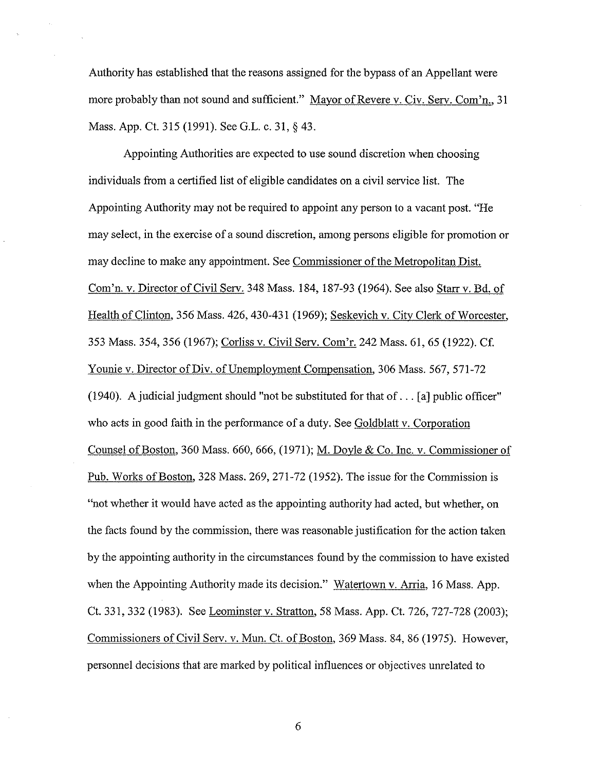Authority has established that the reasons assigned for the bypass of an Appellant were more probably than not sound and sufficient." Mayor of Revere v. Civ. Serv. Com'n., 31 Mass. App. Ct. 315 (1991). See G.L. c. 31, § 43.

Appointing Authorities are expected to use sound discretion when choosing individuals from a certified list of eligible candidates on a civil service list. The Appointing Authority may not be required to appoint any person to a vacant post. "He may select, in the exercise of a sound discretion, among persons eligible for promotion or may decline to make any appointment. See Commissioner of the Metropolitan Dist. Com'n. v. Director of Civil Serv. 348 Mass. 184, 187-93 (1964). See also Starr v. Bd. of Health of Clinton, 356 Mass. 426, 430-431 (1969); Seskevich v. City Clerk of Worcester, 353 Mass. 354,356 (1967); Corliss v. Civil Serv. Com'r. 242 Mass. 61, 65 (1922). Cf. Younie v. Director of Div. of Unemployment Compensation, 306 Mass. 567, 571-72 (1940). A judicial judgment should "not be substituted for that of. .. [a] public officer" who acts in good faith in the performance of a duty. See Goldblatt v. Corporation Counsel of Boston, 360 Mass. 660, 666, (1971); M. Doyle & Co. Inc. v. Commissioner of Pub. Works of Boston, 328 Mass. 269, 271-72 (1952). The issue for the Commission is "not whether it would have acted as the appointing authority had acted, but whether, on the facts found by the commission, there was reasonable justification for the action taken by the appointing authority in the circumstances found by the commission to have existed when the Appointing Authority made its decision." Watertown v. Arria, 16 Mass. App. Ct. 331,332 (1983). See Leominster v. Stratton, 58 Mass. App. Ct. 726, 727-728 (2003); Commissioners of Civil Serv. v. Mun. Ct. of Boston, 369 Mass. 84, 86 (1975). However, personnel decisions that are marked by political influences or objectives unrelated to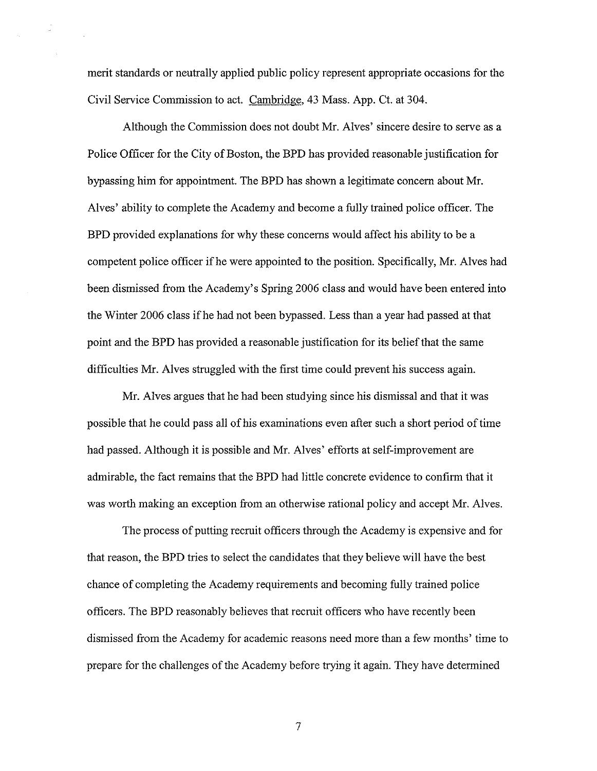merit standards or neutrally applied public policy represent appropriate occasions for the Civil Service Commission to act. Cambridge, 43 Mass. App. Ct. at 304.

 $\mathcal{L}_{\mathcal{L}}$ 

Although the Commission does not doubt Mr. Alves' sincere desire to serve as a Police Officer for the City of Boston, the BPD has provided reasonable justification for bypassing him for appointment. The BPD has shown a legitimate concern about Mr. Alves' ability to complete the Academy and become a fully trained police officer. The BPD provided explanations for why these concerns would affect his ability to be a competent police officer ifhe were appointed to the position. Specifically, Mr. Alves had been dismissed from the Academy's Spring 2006 class and would have been entered into the Winter 2006 class if he had not been bypassed. Less than a year had passed at that point and the BPD has provided a reasonable justification for its belief that the same difficulties Mr. Alves struggled with the first time could prevent his success again.

Mr. Alves argues that he had been studying since his dismissal and that it was possible that he could pass all of his examinations even after such a short period of time had passed. Although it is possible and Mr. Alves' efforts at self-improvement are admirable, the fact remains that the BPD had little concrete evidence to confirm that it was worth making an exception from an otherwise rational policy and accept Mr. Alves.

The process of putting recruit officers through the Academy is expensive and for that reason, the BPD tries to select the candidates that they believe will have the best chance of completing the Academy requirements and becoming fully trained police officers. The BPD reasonably believes that recruit officers who have recently been dismissed from the Academy for academic reasons need more than a few months' time to prepare for the challenges of the Academy before trying it again. They have determined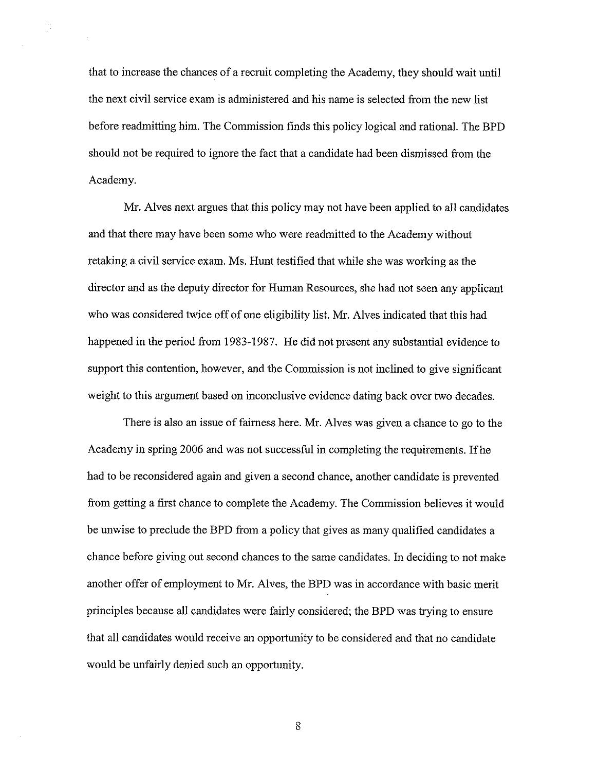that to increase the chances of a recruit completing the Academy, they should wait until the next civil service exam is administered and his name is selected from the new list before readmitting him. The Commission finds this policy logical and rational. The BPD should not be required to ignore the fact that a candidate had been dismissed from the Academy.

÷

Mr. Alves next argues that this policy may not have been applied to all candidates and that there may have been some who were readmitted to the Academy without retaking a civil service exam. Ms. Hunt testified that while she was working as the director and as the deputy director for Human Resources, she had not seen any applicant who was considered twice off of one eligibility list. Mr. Alves indicated that this had happened in the period from 1983-1987. He did not present any substantial evidence to support this contention, however, and the Commission is not inclined to give significant weight to this argument based on inconclusive evidence dating back over two decades.

There is also an issue of fairness here. Mr. Alves was given a chance to go to the Academy in spring 2006 and was not successful in completing the requirements. Ifhe had to be reconsidered again and given a second chance, another candidate is prevented from getting a first chance to complete the Academy. The Commission believes it would be unwise to preclude the BPD from a policy that gives as many qualified candidates a chance before giving out second chances to the same candidates. In deciding to not make another offer of employment to Mr. Alves, the BPD was in accordance with basic merit principles because all candidates were fairly considered; the BPD was trying to ensure that all candidates would receive an opportunity to be considered and that no candidate would be unfairly denied such an opportunity.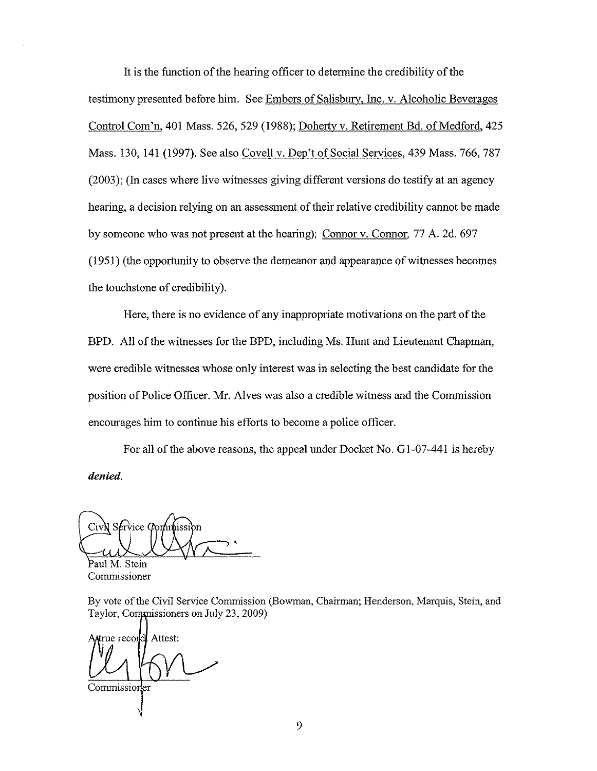It is the function of the hearing officer to determine the credibility of the testimony presented before him. See Embers of Salisbury, Inc. v. Alcoholic Beverages Control Com'n, 401 Mass. 526,529 (1988); Doherty v. Retirement Bd. of Medford, 425 Mass. 130, 141 (1997). See also Covell v. Dep't of Social Services, 439 Mass. 766, 787 (2003); (In cases where live witnesses giving different versions do testify at an agency hearing, a decision relying on an assessment of their relative credibility cannot be made by someone who was not present at the hearing); Connor v. Connor. 77 A. 2d. 697 (1951) (the opportunity to observe the demeanor and appearance of witnesses becomes the touchstone of credibility).

Here, there is no evidence of any inappropriate motivations on the part of the BPD. All of the witnesses for the BPD, including Ms. Hunt and Lieutenant Chapman, were credible witnesses whose only interest was in selecting the best candidate for the position of Police Officer. Mr. Alves was also a credible witness and the Commission encourages him to continue his efforts to become a police officer.

For all of the above reasons, the appeal under Docket No. Gl-07-441 is hereby *denied.* 

CivN Service Commission

Paul M. Stein Commissioner

By vote of the Civil Service Commission (Bowman, Chairman; Henderson, Marquis, Stein, and Taylor, Commissioners on July 23, 2009)

Attest: true recorddl Commission